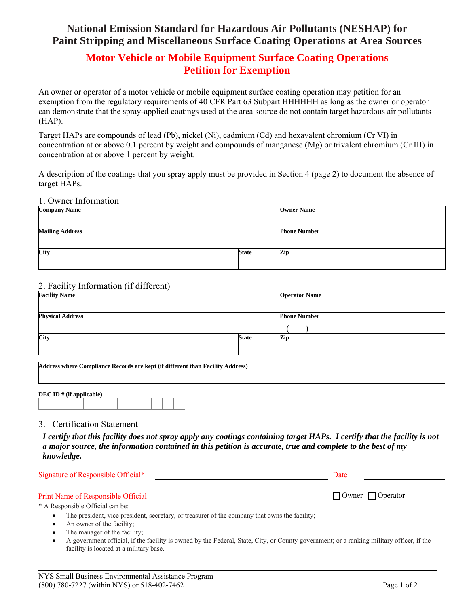# **National Emission Standard for Hazardous Air Pollutants (NESHAP) for Paint Stripping and Miscellaneous Surface Coating Operations at Area Sources**

## **Motor Vehicle or Mobile Equipment Surface Coating Operations Petition for Exemption**

An owner or operator of a motor vehicle or mobile equipment surface coating operation may petition for an exemption from the regulatory requirements of 40 CFR Part 63 Subpart HHHHHH as long as the owner or operator can demonstrate that the spray-applied coatings used at the area source do not contain target hazardous air pollutants (HAP).

Target HAPs are compounds of lead (Pb), nickel (Ni), cadmium (Cd) and hexavalent chromium (Cr VI) in concentration at or above 0.1 percent by weight and compounds of manganese (Mg) or trivalent chromium (Cr III) in concentration at or above 1 percent by weight.

A description of the coatings that you spray apply must be provided in Section 4 (page 2) to document the absence of target HAPs.

#### 1. Owner Information

| <b>Company Name</b>    | <b>Owner Name</b> |                     |  |
|------------------------|-------------------|---------------------|--|
|                        |                   |                     |  |
| <b>Mailing Address</b> |                   | <b>Phone Number</b> |  |
|                        |                   |                     |  |
| City                   | <b>State</b>      | Zip                 |  |
|                        |                   |                     |  |

## 2. Facility Information (if different)

| <b>Facility Name</b>    |              | <b>Operator Name</b> |
|-------------------------|--------------|----------------------|
| <b>Physical Address</b> |              | <b>Phone Number</b>  |
| City                    | <b>State</b> | Zip                  |

**Address where Compliance Records are kept (if different than Facility Address)** 

| DEC ID $#$ (if applicable) |  |  |  |  |  |  |  |  |  |  |  |  |  |
|----------------------------|--|--|--|--|--|--|--|--|--|--|--|--|--|
|                            |  |  |  |  |  |  |  |  |  |  |  |  |  |

### 3. Certification Statement

*I certify that this facility does not spray apply any coatings containing target HAPs. I certify that the facility is not a major source, the information contained in this petition is accurate, true and complete to the best of my knowledge.* 

| Signature of Responsible Official* | Date                         |  |  |
|------------------------------------|------------------------------|--|--|
| Print Name of Responsible Official | $\Box$ Owner $\Box$ Operator |  |  |

\* A Responsible Official can be:

- The president, vice president, secretary, or treasurer of the company that owns the facility;
- An owner of the facility;
- The manager of the facility;
- A government official, if the facility is owned by the Federal, State, City, or County government; or a ranking military officer, if the facility is located at a military base.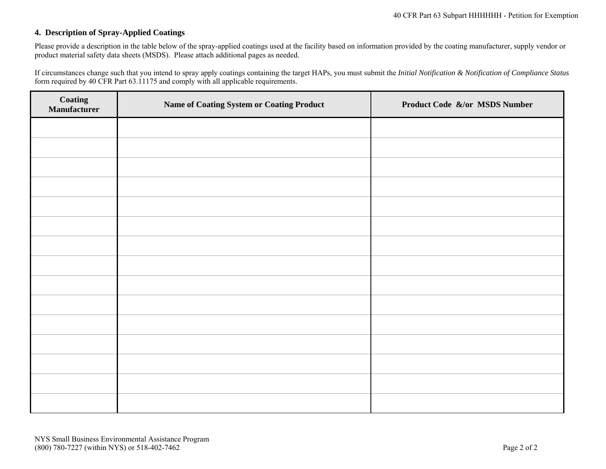### **4. Description of Spray-Applied Coatings**

Please provide a description in the table below of the spray-applied coatings used at the facility based on information provided by the coating manufacturer, supply vendor or product material safety data sheets (MSDS). Please attach additional pages as needed.

If circumstances change such that you intend to spray apply coatings containing the target HAPs, you must submit the *Initial Notification & Notification of Compliance Status* form required by 40 CFR Part 63.11175 and comply with all applicable requirements.

| <b>Coating<br/>Manufacturer</b> | <b>Name of Coating System or Coating Product</b> | Product Code &/or MSDS Number |
|---------------------------------|--------------------------------------------------|-------------------------------|
|                                 |                                                  |                               |
|                                 |                                                  |                               |
|                                 |                                                  |                               |
|                                 |                                                  |                               |
|                                 |                                                  |                               |
|                                 |                                                  |                               |
|                                 |                                                  |                               |
|                                 |                                                  |                               |
|                                 |                                                  |                               |
|                                 |                                                  |                               |
|                                 |                                                  |                               |
|                                 |                                                  |                               |
|                                 |                                                  |                               |
|                                 |                                                  |                               |
|                                 |                                                  |                               |